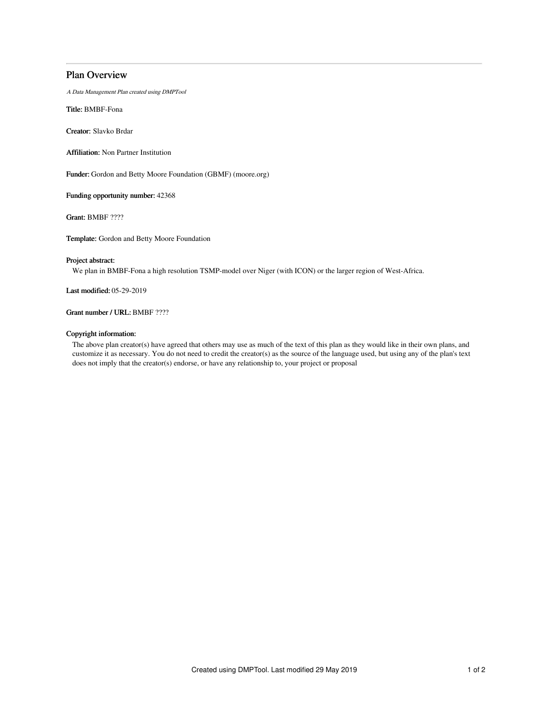# Plan Overview

A Data Management Plan created using DMPTool

Title: BMBF-Fona

Creator: Slavko Brdar

Affiliation: Non Partner Institution

Funder: Gordon and Betty Moore Foundation (GBMF) (moore.org)

Funding opportunity number: 42368

Grant: BMBF ????

Template: Gordon and Betty Moore Foundation

### Project abstract:

We plan in BMBF-Fona a high resolution TSMP-model over Niger (with ICON) or the larger region of West-Africa.

Last modified: 05-29-2019

### Grant number / URL: BMBF ????

### Copyright information:

The above plan creator(s) have agreed that others may use as much of the text of this plan as they would like in their own plans, and customize it as necessary. You do not need to credit the creator(s) as the source of the language used, but using any of the plan's text does not imply that the creator(s) endorse, or have any relationship to, your project or proposal